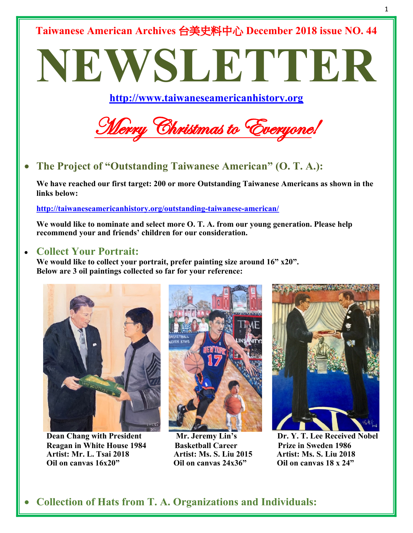**Taiwanese American Archives** 台美史料中心 **December 2018 issue NO. 44**

# **NEWSLETTER**

**http://www.taiwaneseamericanhistory.org**



• **The Project of "Outstanding Taiwanese American" (O. T. A.):**

**We have reached our first target: 200 or more Outstanding Taiwanese Americans as shown in the links below:**

**http://taiwaneseamericanhistory.org/outstanding-taiwanese-american/**

**We would like to nominate and select more O. T. A. from our young generation. Please help recommend your and friends' children for our consideration.**

#### • **Collect Your Portrait:**

**We would like to collect your portrait, prefer painting size around 16" x20". Below are 3 oil paintings collected so far for your reference:**



 **Reagan in White House 1984 Basketball Career Prize in Sweden 1986 Artist: Mr. L. Tsai 2018 Artist: Ms. S. Liu 2015 Artist: Ms. S. Liu 2018 Oil on canvas 16x20" Oil on canvas 24x36" Oil on canvas 18 x 24"** 





**Dean Chang with President Mr. Jeremy Lin's Dr. Y. T. Lee Received Nobel**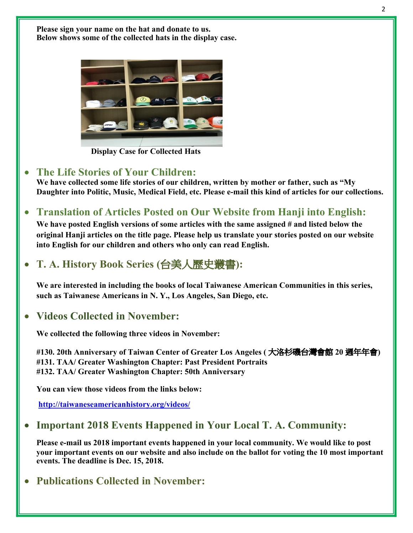**Please sign your name on the hat and donate to us. Below shows some of the collected hats in the display case.**



 **Display Case for Collected Hats**

#### • **The Life Stories of Your Children:**

**We have collected some life stories of our children, written by mother or father, such as "My Daughter into Politic, Music, Medical Field, etc. Please e-mail this kind of articles for our collections.**

• **Translation of Articles Posted on Our Website from Hanji into English:** 

**We have posted English versions of some articles with the same assigned # and listed below the original Hanji articles on the title page. Please help us translate your stories posted on our website into English for our children and others who only can read English.** 

• **T. A. History Book Series (**台美人歷史叢書**):**

**We are interested in including the books of local Taiwanese American Communities in this series, such as Taiwanese Americans in N. Y., Los Angeles, San Diego, etc.**

### • **Videos Collected in November:**

**We collected the following three videos in November:**

**#130. 20th Anniversary of Taiwan Center of Greater Los Angeles (** 大洛杉磯台灣會館 **20** 週年年會**) #131. TAA/ Greater Washington Chapter: Past President Portraits #132. TAA/ Greater Washington Chapter: 50th Anniversary** 

**You can view those videos from the links below:**

 **http://taiwaneseamericanhistory.org/videos/**

## • **Important 2018 Events Happened in Your Local T. A. Community:**

**Please e-mail us 2018 important events happened in your local community. We would like to post your important events on our website and also include on the ballot for voting the 10 most important events. The deadline is Dec. 15, 2018.**

## • **Publications Collected in November:**